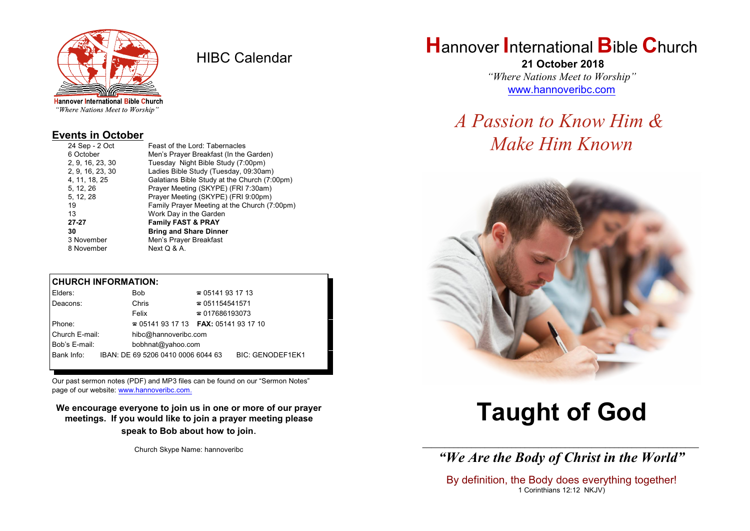

HIBC Calendar

"Where Nations Meet to Worship"

#### **Events in October**

| 24 Sep - 2 Oct   | Feast of the Lord: Tabernacles               |
|------------------|----------------------------------------------|
| 6 October        | Men's Prayer Breakfast (In the Garden)       |
| 2, 9, 16, 23, 30 | Tuesday Night Bible Study (7:00pm)           |
| 2, 9, 16, 23, 30 | Ladies Bible Study (Tuesday, 09:30am)        |
| 4, 11, 18, 25    | Galatians Bible Study at the Church (7:00pm) |
| 5, 12, 26        | Prayer Meeting (SKYPE) (FRI 7:30am)          |
| 5, 12, 28        | Prayer Meeting (SKYPE) (FRI 9:00pm)          |
| 19               | Family Prayer Meeting at the Church (7:00pm) |
| 13               | Work Day in the Garden                       |
| 27-27            | <b>Family FAST &amp; PRAY</b>                |
| 30               | <b>Bring and Share Dinner</b>                |
| 3 November       | Men's Prayer Breakfast                       |
| 8 November       | Next Q & A.                                  |
|                  |                                              |

#### **CHURCH INFORMATION:**

| Elders:        |  | Bob.                                          | $\approx 05141931713$  |                         |  |
|----------------|--|-----------------------------------------------|------------------------|-------------------------|--|
| Deacons:       |  | Chris                                         | $\approx 051154541571$ |                         |  |
|                |  | Felix                                         | $\approx 017686193073$ |                         |  |
| Phone:         |  | $\approx 05141931713$ FAX: 0514193 17 10      |                        |                         |  |
| Church E-mail: |  | hibc@hannoveribc.com                          |                        |                         |  |
| Bob's E-mail:  |  | bobhnat@yahoo.com                             |                        |                         |  |
|                |  | Bank Info: IBAN: DE 69 5206 0410 0006 6044 63 |                        | <b>BIC: GENODEF1EK1</b> |  |
|                |  |                                               |                        |                         |  |

Our past sermon notes (PDF) and MP3 files can be found on our "Sermon Notes" page of our website: [www.hannoveribc.com.](http://www.hannoveribc.com.)

**We encourage everyone to join us in one or more of our prayer meetings. If you would like to join a prayer meeting please speak to Bob about how to join**.

Church Skype Name: hannoveribc

## **H**annover **I**nternational **B**ible **C**hurch

 **21 October 2018** *"Where Nations Meet to Worship"* [www.hannoveribc.com](http://www.hannoveribc.com)

# *A Passion to Know Him & Make Him Known*



# **Taught of God**

\_\_\_\_\_\_\_\_\_\_\_\_\_\_\_\_\_\_\_\_\_\_\_\_\_\_\_\_\_\_\_\_\_\_\_\_\_\_\_\_\_\_\_\_\_\_\_\_\_\_\_\_\_\_\_\_\_\_\_\_\_\_ *"We Are the Body of Christ in the World"*

By definition, the Body does everything together! 1 Corinthians 12:12 NKJV)